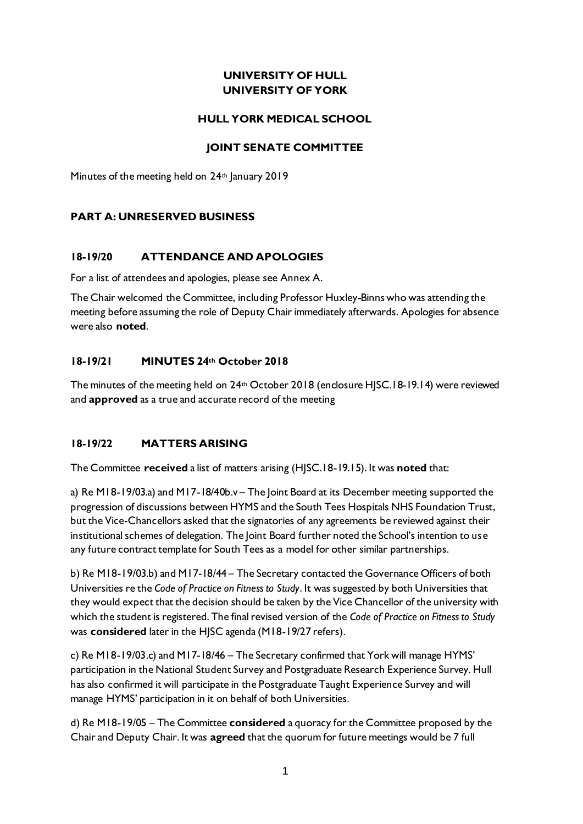# **UNIVERSITY OF HULL UNIVERSITY OF YORK**

### **HULL YORK MEDICAL SCHOOL**

### **JOINT SENATE COMMITTEE**

Minutes of the meeting held on 24<sup>th</sup> January 2019

# **PART A: UNRESERVED BUSINESS**

### **18-19/20 ATTENDANCE AND APOLOGIES**

For a list of attendees and apologies, please see Annex A.

The Chair welcomed the Committee, including Professor Huxley-Binns who was attending the meeting before assuming the role of Deputy Chair immediately afterwards. Apologies for absence were also **noted**.

### **18-19/21 MINUTES 24th October 2018**

The minutes of the meeting held on 24<sup>th</sup> October 2018 (enclosure HJSC.18-19.14) were reviewed and **approved** as a true and accurate record of the meeting

### **18-19/22 MATTERS ARISING**

The Committee **received** a list of matters arising (HJSC.18-19.15). It was **noted** that:

a) Re M18-19/03.a) and M17-18/40b.v – The Joint Board at its December meeting supported the progression of discussions between HYMS and the South Tees Hospitals NHS Foundation Trust, but the Vice-Chancellors asked that the signatories of any agreements be reviewed against their institutional schemes of delegation. The Joint Board further noted the School's intention to use any future contract template for South Tees as a model for other similar partnerships.

b) Re M18-19/03.b) and M17-18/44 – The Secretary contacted the Governance Officers of both Universities re the *Code of Practice on Fitness to Study*. It was suggested by both Universities that they would expect that the decision should be taken by the Vice Chancellor of the university with which the student is registered. The final revised version of the *Code of Practice on Fitness to Study* was **considered** later in the HJSC agenda (M18-19/27 refers).

c) Re M18-19/03.c) and M17-18/46 – The Secretary confirmed that York will manage HYMS' participation in the National Student Survey and Postgraduate Research Experience Survey. Hull has also confirmed it will participate in the Postgraduate Taught Experience Survey and will manage HYMS' participation in it on behalf of both Universities.

d) Re M18-19/05 – The Committee **considered** a quoracy for the Committee proposed by the Chair and Deputy Chair. It was **agreed** that the quorum for future meetings would be 7 full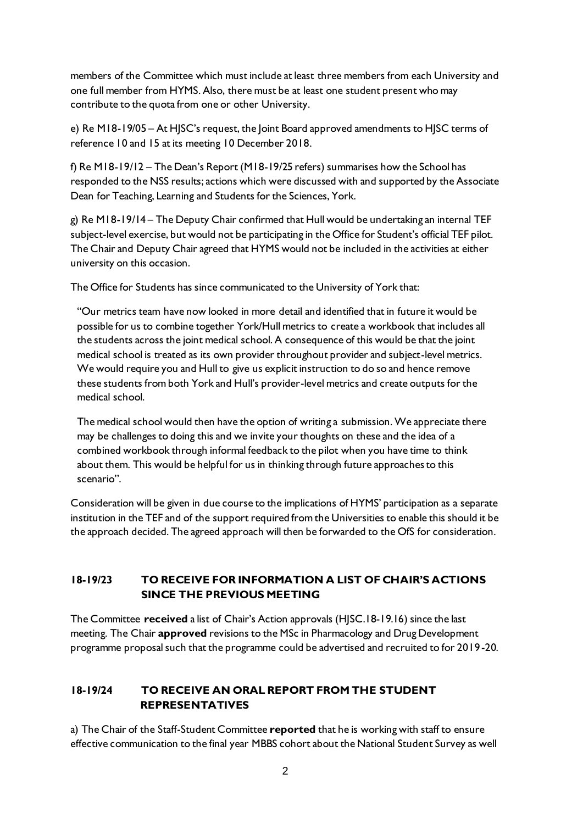members of the Committee which must include at least three members from each University and one full member from HYMS. Also, there must be at least one student present who may contribute to the quota from one or other University.

e) Re M18-19/05 – At HJSC's request, the Joint Board approved amendments to HJSC terms of reference 10 and 15 at its meeting 10 December 2018.

f) Re M18-19/12 – The Dean's Report (M18-19/25 refers) summarises how the School has responded to the NSS results; actions which were discussed with and supported by the Associate Dean for Teaching, Learning and Students for the Sciences, York.

g) Re M18-19/14 – The Deputy Chair confirmed that Hull would be undertaking an internal TEF subject-level exercise, but would not be participating in the Office for Student's official TEF pilot. The Chair and Deputy Chair agreed that HYMS would not be included in the activities at either university on this occasion.

The Office for Students has since communicated to the University of York that:

"Our metrics team have now looked in more detail and identified that in future it would be possible for us to combine together York/Hull metrics to create a workbook that includes all the students across the joint medical school. A consequence of this would be that the joint medical school is treated as its own provider throughout provider and subject-level metrics. We would require you and Hull to give us explicit instruction to do so and hence remove these students from both York and Hull's provider-level metrics and create outputs for the medical school.

The medical school would then have the option of writing a submission. We appreciate there may be challenges to doing this and we invite your thoughts on these and the idea of a combined workbook through informal feedback to the pilot when you have time to think about them. This would be helpful for us in thinking through future approaches to this scenario".

Consideration will be given in due course to the implications of HYMS' participation as a separate institution in the TEF and of the support required from the Universities to enable this should it be the approach decided. The agreed approach will then be forwarded to the OfS for consideration.

# **18-19/23 TO RECEIVE FOR INFORMATION A LIST OF CHAIR'S ACTIONS SINCE THE PREVIOUS MEETING**

The Committee **received** a list of Chair's Action approvals (HJSC.18-19.16) since the last meeting. The Chair **approved** revisions to the MSc in Pharmacology and Drug Development programme proposal such that the programme could be advertised and recruited to for 2019-20.

# **18-19/24 TO RECEIVE AN ORAL REPORT FROM THE STUDENT REPRESENTATIVES**

a) The Chair of the Staff-Student Committee **reported** that he is working with staff to ensure effective communication to the final year MBBS cohort about the National Student Survey as well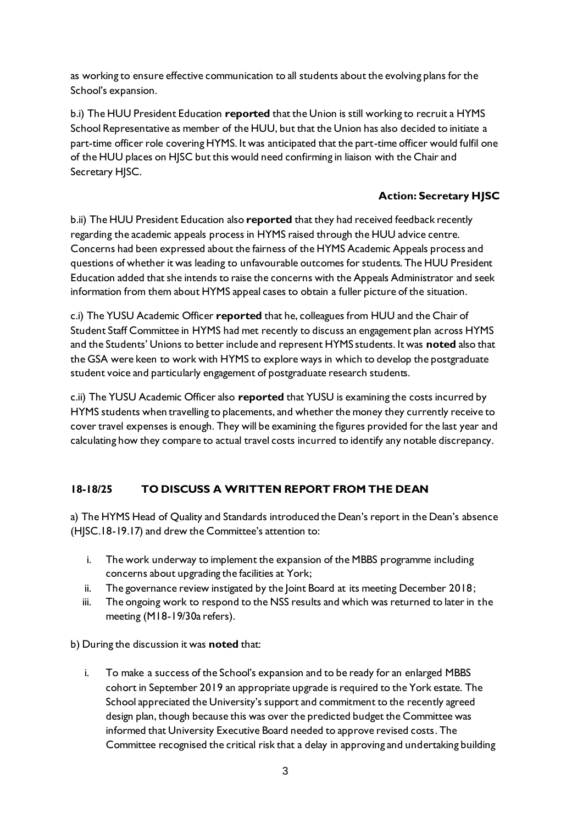as working to ensure effective communication to all students about the evolving plans for the School's expansion.

b.i) The HUU President Education **reported** that the Union is still working to recruit a HYMS School Representative as member of the HUU, but that the Union has also decided to initiate a part-time officer role covering HYMS. It was anticipated that the part-time officer would fulfil one of the HUU places on HJSC but this would need confirming in liaison with the Chair and Secretary HJSC.

# **Action: Secretary HJSC**

b.ii) The HUU President Education also **reported** that they had received feedback recently regarding the academic appeals process in HYMS raised through the HUU advice centre. Concerns had been expressed about the fairness of the HYMS Academic Appeals process and questions of whether it was leading to unfavourable outcomes for students. The HUU President Education added that she intends to raise the concerns with the Appeals Administrator and seek information from them about HYMS appeal cases to obtain a fuller picture of the situation.

c.i) The YUSU Academic Officer **reported** that he, colleagues from HUU and the Chair of Student Staff Committee in HYMS had met recently to discuss an engagement plan across HYMS and the Students' Unions to better include and represent HYMS students. It was **noted** also that the GSA were keen to work with HYMS to explore ways in which to develop the postgraduate student voice and particularly engagement of postgraduate research students.

c.ii) The YUSU Academic Officer also **reported** that YUSU is examining the costs incurred by HYMS students when travelling to placements, and whether the money they currently receive to cover travel expenses is enough. They will be examining the figures provided for the last year and calculating how they compare to actual travel costs incurred to identify any notable discrepancy.

# **18-18/25 TO DISCUSS A WRITTEN REPORT FROM THE DEAN**

a) The HYMS Head of Quality and Standards introduced the Dean's report in the Dean's absence (HJSC.18-19.17) and drew the Committee's attention to:

- i. The work underway to implement the expansion of the MBBS programme including concerns about upgrading the facilities at York;
- ii. The governance review instigated by the Joint Board at its meeting December 2018;
- iii. The ongoing work to respond to the NSS results and which was returned to later in the meeting (M18-19/30a refers).

b) During the discussion it was **noted** that:

i. To make a success of the School's expansion and to be ready for an enlarged MBBS cohort in September 2019 an appropriate upgrade is required to the York estate. The School appreciated the University's support and commitment to the recently agreed design plan, though because this was over the predicted budget the Committee was informed that University Executive Board needed to approve revised costs. The Committee recognised the critical risk that a delay in approving and undertaking building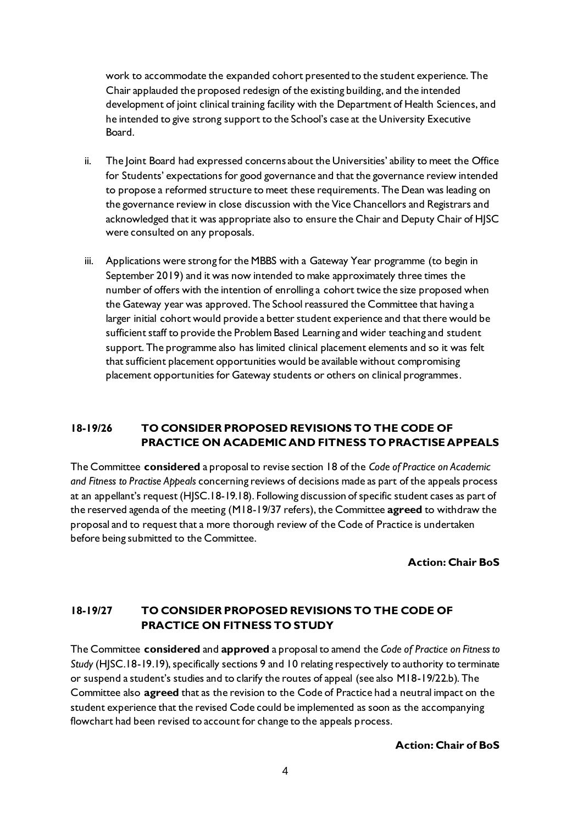work to accommodate the expanded cohort presented to the student experience. The Chair applauded the proposed redesign of the existing building, and the intended development of joint clinical training facility with the Department of Health Sciences, and he intended to give strong support to the School's case at the University Executive Board.

- ii. The Joint Board had expressed concerns about the Universities' ability to meet the Office for Students' expectations for good governance and that the governance review intended to propose a reformed structure to meet these requirements. The Dean was leading on the governance review in close discussion with the Vice Chancellors and Registrars and acknowledged that it was appropriate also to ensure the Chair and Deputy Chair of HJSC were consulted on any proposals.
- iii. Applications were strong for the MBBS with a Gateway Year programme (to begin in September 2019) and it was now intended to make approximately three times the number of offers with the intention of enrolling a cohort twice the size proposed when the Gateway year was approved. The School reassured the Committee that having a larger initial cohort would provide a better student experience and that there would be sufficient staff to provide the Problem Based Learning and wider teaching and student support. The programme also has limited clinical placement elements and so it was felt that sufficient placement opportunities would be available without compromising placement opportunities for Gateway students or others on clinical programmes.

# **18-19/26 TO CONSIDER PROPOSED REVISIONS TO THE CODE OF PRACTICE ON ACADEMIC AND FITNESS TO PRACTISE APPEALS**

The Committee **considered** a proposal to revise section 18 of the *Code of Practice on Academic and Fitness to Practise Appeals* concerning reviews of decisions made as part of the appeals process at an appellant's request (HJSC.18-19.18). Following discussion of specific student cases as part of the reserved agenda of the meeting (M18-19/37 refers), the Committee **agreed** to withdraw the proposal and to request that a more thorough review of the Code of Practice is undertaken before being submitted to the Committee.

**Action: Chair BoS**

# **18-19/27 TO CONSIDER PROPOSED REVISIONS TO THE CODE OF PRACTICE ON FITNESS TO STUDY**

The Committee **considered** and **approved** a proposal to amend the *Code of Practice on Fitness to Study* (HJSC.18-19.19), specifically sections 9 and 10 relating respectively to authority to terminate or suspend a student's studies and to clarify the routes of appeal (see also M18-19/22.b). The Committee also **agreed** that as the revision to the Code of Practice had a neutral impact on the student experience that the revised Code could be implemented as soon as the accompanying flowchart had been revised to account for change to the appeals process.

### **Action: Chair of BoS**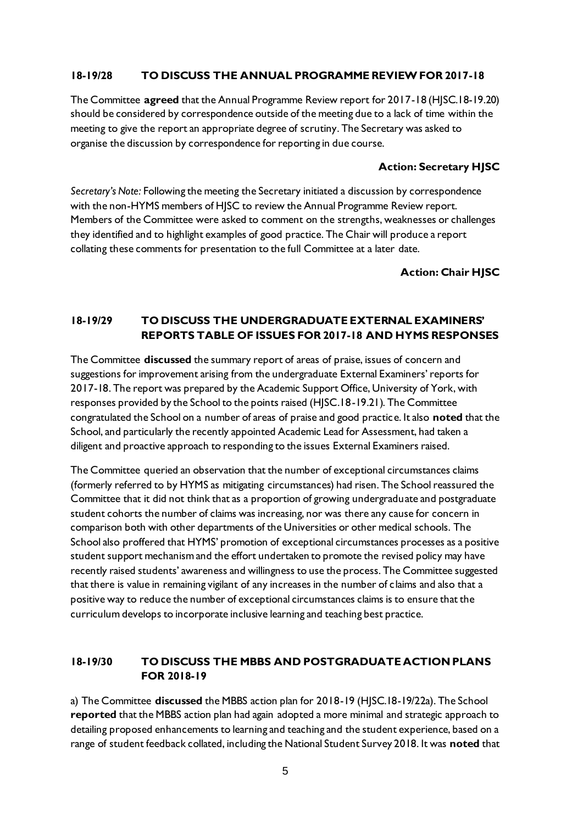### **18-19/28 TO DISCUSS THE ANNUAL PROGRAMME REVIEW FOR 2017-18**

The Committee **agreed** that the Annual Programme Review report for 2017-18 (HJSC.18-19.20) should be considered by correspondence outside of the meeting due to a lack of time within the meeting to give the report an appropriate degree of scrutiny. The Secretary was asked to organise the discussion by correspondence for reporting in due course.

### **Action: Secretary HJSC**

*Secretary's Note:* Following the meeting the Secretary initiated a discussion by correspondence with the non-HYMS members of HJSC to review the Annual Programme Review report. Members of the Committee were asked to comment on the strengths, weaknesses or challenges they identified and to highlight examples of good practice. The Chair will produce a report collating these comments for presentation to the full Committee at a later date.

**Action: Chair HJSC**

# **18-19/29 TO DISCUSS THE UNDERGRADUATE EXTERNAL EXAMINERS' REPORTS TABLE OF ISSUES FOR 2017-18 AND HYMS RESPONSES**

The Committee **discussed** the summary report of areas of praise, issues of concern and suggestions for improvement arising from the undergraduate External Examiners' reports for 2017-18. The report was prepared by the Academic Support Office, University of York, with responses provided by the School to the points raised (HJSC.18-19.21). The Committee congratulated the School on a number of areas of praise and good practice. It also **noted** that the School, and particularly the recently appointed Academic Lead for Assessment, had taken a diligent and proactive approach to responding to the issues External Examiners raised.

The Committee queried an observation that the number of exceptional circumstances claims (formerly referred to by HYMS as mitigating circumstances) had risen. The School reassured the Committee that it did not think that as a proportion of growing undergraduate and postgraduate student cohorts the number of claims was increasing, nor was there any cause for concern in comparison both with other departments of the Universities or other medical schools. The School also proffered that HYMS' promotion of exceptional circumstances processes as a positive student support mechanism and the effort undertaken to promote the revised policy may have recently raised students' awareness and willingness to use the process. The Committee suggested that there is value in remaining vigilant of any increases in the number of claims and also that a positive way to reduce the number of exceptional circumstances claims is to ensure that the curriculum develops to incorporate inclusive learning and teaching best practice.

# **18-19/30 TO DISCUSS THE MBBS AND POSTGRADUATE ACTION PLANS FOR 2018-19**

a) The Committee **discussed** the MBBS action plan for 2018-19 (HJSC.18-19/22a). The School **reported** that the MBBS action plan had again adopted a more minimal and strategic approach to detailing proposed enhancements to learning and teaching and the student experience, based on a range of student feedback collated, including the National Student Survey 2018. It was **noted** that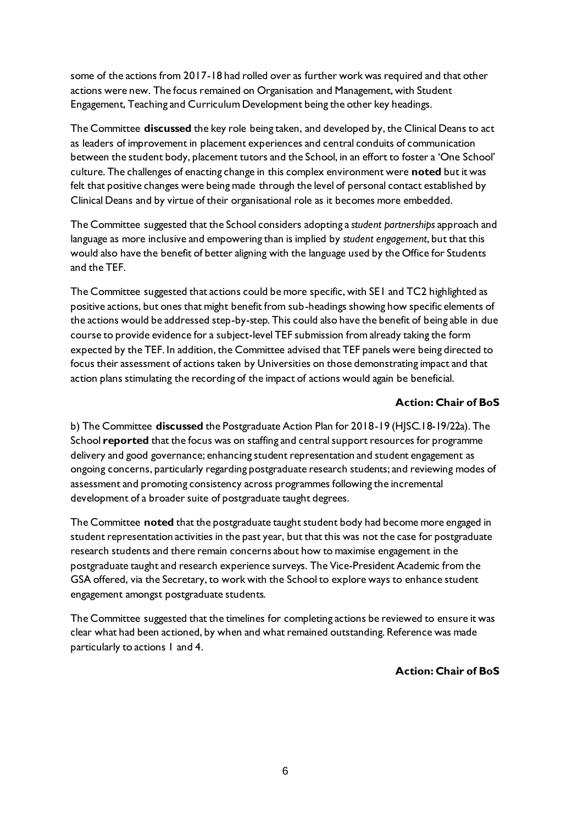some of the actions from 2017-18 had rolled over as further work was required and that other actions were new. The focus remained on Organisation and Management, with Student Engagement, Teaching and Curriculum Development being the other key headings.

The Committee **discussed** the key role being taken, and developed by, the Clinical Deans to act as leaders of improvement in placement experiences and central conduits of communication between the student body, placement tutors and the School, in an effort to foster a 'One School' culture. The challenges of enacting change in this complex environment were **noted** but it was felt that positive changes were being made through the level of personal contact established by Clinical Deans and by virtue of their organisational role as it becomes more embedded.

The Committee suggested that the School considers adopting a *student partnerships* approach and language as more inclusive and empowering than is implied by *student engagement*, but that this would also have the benefit of better aligning with the language used by the Office for Students and the TEF.

The Committee suggested that actions could be more specific, with SE1 and TC2 highlighted as positive actions, but ones that might benefit from sub-headings showing how specific elements of the actions would be addressed step-by-step. This could also have the benefit of being able in due course to provide evidence for a subject-level TEF submission from already taking the form expected by the TEF. In addition, the Committee advised that TEF panels were being directed to focus their assessment of actions taken by Universities on those demonstrating impact and that action plans stimulating the recording of the impact of actions would again be beneficial.

### **Action: Chair of BoS**

b) The Committee **discussed** the Postgraduate Action Plan for 2018-19 (HJSC.18-19/22a). The School **reported** that the focus was on staffing and central support resources for programme delivery and good governance; enhancing student representation and student engagement as ongoing concerns, particularly regarding postgraduate research students; and reviewing modes of assessment and promoting consistency across programmes following the incremental development of a broader suite of postgraduate taught degrees.

The Committee **noted** that the postgraduate taught student body had become more engaged in student representation activities in the past year, but that this was not the case for postgraduate research students and there remain concerns about how to maximise engagement in the postgraduate taught and research experience surveys. The Vice-President Academic from the GSA offered, via the Secretary, to work with the School to explore ways to enhance student engagement amongst postgraduate students.

The Committee suggested that the timelines for completing actions be reviewed to ensure it was clear what had been actioned, by when and what remained outstanding. Reference was made particularly to actions 1 and 4.

### **Action: Chair of BoS**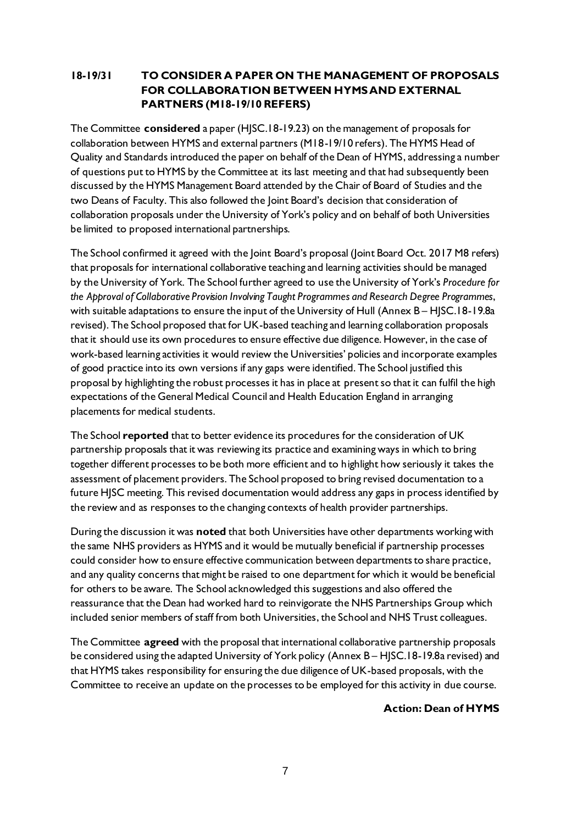# **18-19/31 TO CONSIDER A PAPER ON THE MANAGEMENT OF PROPOSALS FOR COLLABORATION BETWEEN HYMS AND EXTERNAL PARTNERS (M18-19/10 REFERS)**

The Committee **considered** a paper (HJSC.18-19.23) on the management of proposals for collaboration between HYMS and external partners (M18-19/10 refers). The HYMS Head of Quality and Standards introduced the paper on behalf of the Dean of HYMS, addressing a number of questions put to HYMS by the Committee at its last meeting and that had subsequently been discussed by the HYMS Management Board attended by the Chair of Board of Studies and the two Deans of Faculty. This also followed the Joint Board's decision that consideration of collaboration proposals under the University of York's policy and on behalf of both Universities be limited to proposed international partnerships.

The School confirmed it agreed with the Joint Board's proposal (Joint Board Oct. 2017 M8 refers) that proposals for international collaborative teaching and learning activities should be managed by the University of York. The School further agreed to use the University of York's *Procedure for the Approval of Collaborative Provision Involving Taught Programmes and Research Degree Programmes*, with suitable adaptations to ensure the input of the University of Hull (Annex B - HJSC.18-19.8a revised). The School proposed that for UK-based teaching and learning collaboration proposals that it should use its own procedures to ensure effective due diligence. However, in the case of work-based learning activities it would review the Universities' policies and incorporate examples of good practice into its own versions if any gaps were identified. The School justified this proposal by highlighting the robust processes it has in place at present so that it can fulfil the high expectations of the General Medical Council and Health Education England in arranging placements for medical students.

The School **reported** that to better evidence its procedures for the consideration of UK partnership proposals that it was reviewing its practice and examining ways in which to bring together different processes to be both more efficient and to highlight how seriously it takes the assessment of placement providers. The School proposed to bring revised documentation to a future HJSC meeting. This revised documentation would address any gaps in process identified by the review and as responses to the changing contexts of health provider partnerships.

During the discussion it was **noted** that both Universities have other departments working with the same NHS providers as HYMS and it would be mutually beneficial if partnership processes could consider how to ensure effective communication between departments to share practice, and any quality concerns that might be raised to one department for which it would be beneficial for others to be aware. The School acknowledged this suggestions and also offered the reassurance that the Dean had worked hard to reinvigorate the NHS Partnerships Group which included senior members of staff from both Universities, the School and NHS Trust colleagues.

The Committee **agreed** with the proposal that international collaborative partnership proposals be considered using the adapted University of York policy (Annex B – HJSC.18-19.8a revised) and that HYMS takes responsibility for ensuring the due diligence of UK-based proposals, with the Committee to receive an update on the processes to be employed for this activity in due course.

### **Action: Dean of HYMS**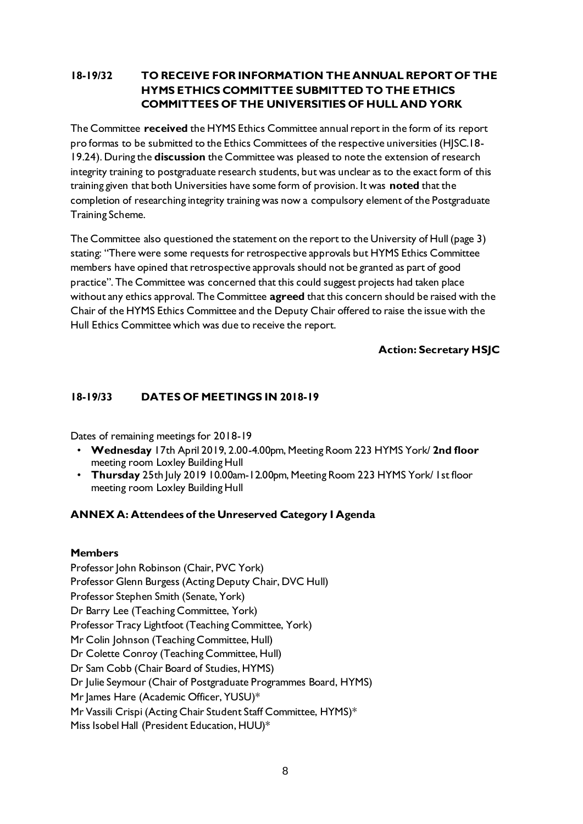# **18-19/32 TO RECEIVE FOR INFORMATION THE ANNUAL REPORT OF THE HYMS ETHICS COMMITTEE SUBMITTED TO THE ETHICS COMMITTEES OF THE UNIVERSITIES OF HULL AND YORK**

The Committee **received** the HYMS Ethics Committee annual report in the form of its report pro formas to be submitted to the Ethics Committees of the respective universities (HJSC.18- 19.24). During the **discussion** the Committee was pleased to note the extension of research integrity training to postgraduate research students, but was unclear as to the exact form of this training given that both Universities have some form of provision. It was **noted** that the completion of researching integrity training was now a compulsory element of the Postgraduate Training Scheme.

The Committee also questioned the statement on the report to the University of Hull (page 3) stating: "There were some requests for retrospective approvals but HYMS Ethics Committee members have opined that retrospective approvals should not be granted as part of good practice". The Committee was concerned that this could suggest projects had taken place without any ethics approval. The Committee **agreed** that this concern should be raised with the Chair of the HYMS Ethics Committee and the Deputy Chair offered to raise the issue with the Hull Ethics Committee which was due to receive the report.

# **Action: Secretary HSJC**

### **18-19/33 DATES OF MEETINGS IN 2018-19**

Dates of remaining meetings for 2018-19

- **Wednesday** 17th April 2019, 2.00-4.00pm, Meeting Room 223 HYMS York/ **2nd floor** meeting room Loxley Building Hull
- **Thursday** 25th July 2019 10.00am-12.00pm, Meeting Room 223 HYMS York/ 1st floor meeting room Loxley Building Hull

### **ANNEX A: Attendees of the Unreserved Category I Agenda**

### **Members**

Professor John Robinson (Chair, PVC York) Professor Glenn Burgess (Acting Deputy Chair, DVC Hull) Professor Stephen Smith (Senate, York) Dr Barry Lee (Teaching Committee, York) Professor Tracy Lightfoot (Teaching Committee, York) Mr Colin Johnson (Teaching Committee, Hull) Dr Colette Conroy (Teaching Committee, Hull) Dr Sam Cobb (Chair Board of Studies, HYMS) Dr Julie Seymour (Chair of Postgraduate Programmes Board, HYMS) Mr James Hare (Academic Officer, YUSU)\* Mr Vassili Crispi (Acting Chair Student Staff Committee, HYMS)\* Miss Isobel Hall (President Education, HUU)\*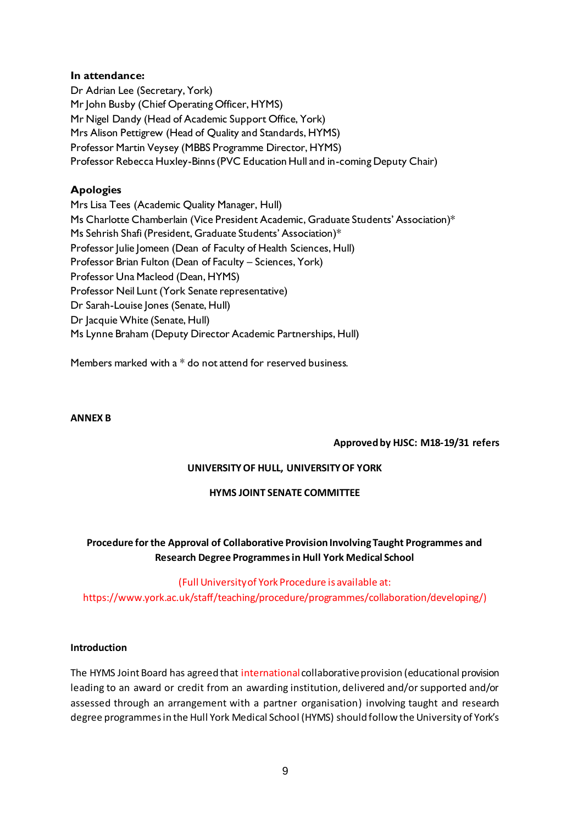### **In attendance:**

Dr Adrian Lee (Secretary, York) Mr John Busby (Chief Operating Officer, HYMS) Mr Nigel Dandy (Head of Academic Support Office, York) Mrs Alison Pettigrew (Head of Quality and Standards, HYMS) Professor Martin Veysey (MBBS Programme Director, HYMS) Professor Rebecca Huxley-Binns (PVC Education Hull and in-coming Deputy Chair)

# **Apologies**

Mrs Lisa Tees (Academic Quality Manager, Hull) Ms Charlotte Chamberlain (Vice President Academic, Graduate Students' Association)\* Ms Sehrish Shafi (President, Graduate Students' Association)\* Professor Julie Jomeen (Dean of Faculty of Health Sciences, Hull) Professor Brian Fulton (Dean of Faculty – Sciences, York) Professor Una Macleod (Dean, HYMS) Professor Neil Lunt (York Senate representative) Dr Sarah-Louise Jones (Senate, Hull) Dr Jacquie White (Senate, Hull) Ms Lynne Braham (Deputy Director Academic Partnerships, Hull)

Members marked with a \* do not attend for reserved business.

### **ANNEX B**

### **Approved by HJSC: M18-19/31 refers**

# **UNIVERSITY OF HULL, UNIVERSITY OF YORK**

### **HYMS JOINT SENATE COMMITTEE**

# **Procedure for the Approval of Collaborative Provision Involving Taught Programmes and Research Degree Programmesin Hull York Medical School**

### (Full University of York Procedure is available at:

https://www.york.ac.uk/staff/teaching/procedure/programmes/collaboration/developing/)

### **Introduction**

The HYMS Joint Board has agreed that international collaborative provision (educational provision leading to an award or credit from an awarding institution, delivered and/or supported and/or assessed through an arrangement with a partner organisation) involving taught and research degree programmes in the Hull York Medical School (HYMS) should follow the University of York's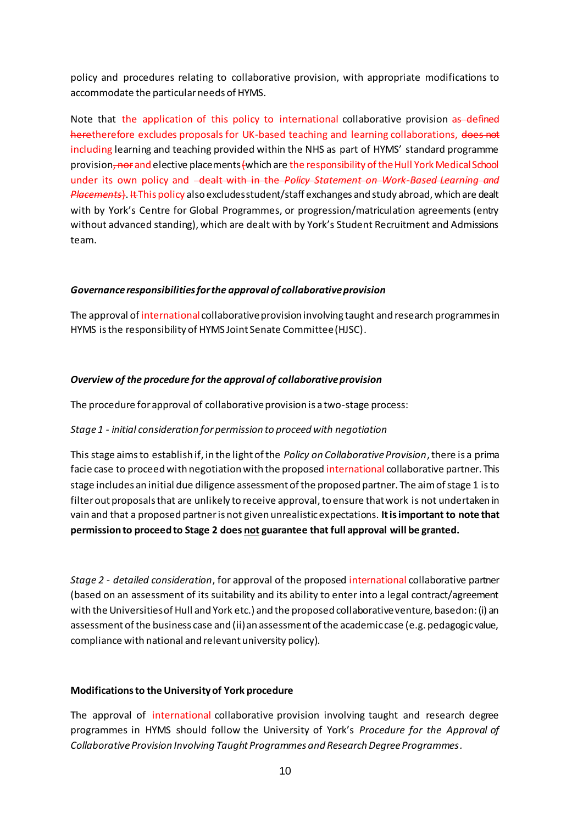policy and procedures relating to collaborative provision, with appropriate modifications to accommodate the particular needs of HYMS.

Note that the application of this policy to international collaborative provision as defined heretherefore excludes proposals for UK-based teaching and learning collaborations, does not including learning and teaching provided within the NHS as part of HYMS' standard programme provision, nor and elective placements (which are the responsibility of the Hull York Medical School under its own policy and <del>dealt with in the *Policy Statement on Work-Based Learning and*</del> *Placements*). It This policy also excludes student/staff exchanges and study abroad, which are dealt with by York's Centre for Global Programmes, or progression/matriculation agreements (entry without advanced standing), which are dealt with by York's Student Recruitment and Admissions team.

### *Governance responsibilities for the approval of collaborative provision*

The approval of international collaborative provision involving taught and research programmesin HYMS is the responsibility of HYMS Joint Senate Committee (HJSC).

#### *Overview of the procedure for the approval of collaborative provision*

The procedure for approval of collaborative provision is a two-stage process:

#### *Stage 1 - initial consideration for permission to proceed with negotiation*

This stage aims to establish if, in the light of the *Policy on Collaborative Provision*, there is a prima facie case to proceed with negotiation with the proposed international collaborative partner. This stage includes an initial due diligence assessment of the proposed partner. The aim of stage 1 is to filter out proposals that are unlikely to receive approval, to ensure that work is not undertaken in vain and that a proposed partner is not given unrealistic expectations. **It is important to note that permission to proceed to Stage 2 does not guarantee that full approval will be granted.**

*Stage 2 - detailed consideration*, for approval of the proposed international collaborative partner (based on an assessment of its suitability and its ability to enter into a legal contract/agreement with the Universities of Hull and York etc.) and the proposed collaborative venture, based on: (i) an assessment of the business case and (ii) an assessment of the academic case (e.g. pedagogic value, compliance with national and relevant university policy).

#### **Modificationsto the University of York procedure**

The approval of international collaborative provision involving taught and research degree programmes in HYMS should follow the University of York's *Procedure for the Approval of Collaborative Provision Involving Taught Programmes and Research Degree Programmes.*